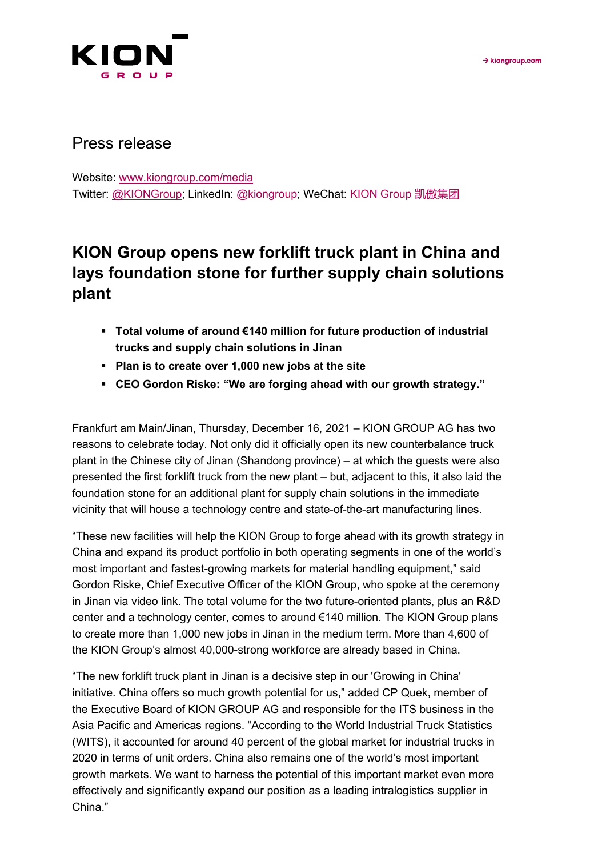

# Press release

Website: [www.kiongroup.com/media](https://eur02.safelinks.protection.outlook.com/?url=http%3A%2F%2Fwww.kiongroup.com%2Fmedien&data=02%7C01%7CRene.Glock%40kiongroup.com%7C5e5bca3a3f334aa363bd08d6ef4156b0%7C13c728e0bb0c4cf78e105b327279d6d9%7C0%7C0%7C636959461240940155&sdata=E%2F7x0JVsCnlmN%2FwK6dD47zlcjp5ATtEt%2Bc3xaggKZaI%3D&reserved=0) Twitter: [@KIONGroup;](https://twitter.com/kion_group) LinkedIn: @kiongroup; WeChat: KION Group 凯傲集团

# **KION Group opens new forklift truck plant in China and lays foundation stone for further supply chain solutions plant**

- **Total volume of around €140 million for future production of industrial trucks and supply chain solutions in Jinan**
- **Plan is to create over 1,000 new jobs at the site**
- **CEO Gordon Riske: "We are forging ahead with our growth strategy."**

Frankfurt am Main/Jinan, Thursday, December 16, 2021 – KION GROUP AG has two reasons to celebrate today. Not only did it officially open its new counterbalance truck plant in the Chinese city of Jinan (Shandong province) – at which the guests were also presented the first forklift truck from the new plant – but, adjacent to this, it also laid the foundation stone for an additional plant for supply chain solutions in the immediate vicinity that will house a technology centre and state-of-the-art manufacturing lines.

"These new facilities will help the KION Group to forge ahead with its growth strategy in China and expand its product portfolio in both operating segments in one of the world's most important and fastest-growing markets for material handling equipment," said Gordon Riske, Chief Executive Officer of the KION Group, who spoke at the ceremony in Jinan via video link. The total volume for the two future-oriented plants, plus an R&D center and a technology center, comes to around €140 million. The KION Group plans to create more than 1,000 new jobs in Jinan in the medium term. More than 4,600 of the KION Group's almost 40,000-strong workforce are already based in China.

"The new forklift truck plant in Jinan is a decisive step in our 'Growing in China' initiative. China offers so much growth potential for us," added CP Quek, member of the Executive Board of KION GROUP AG and responsible for the ITS business in the Asia Pacific and Americas regions. "According to the World Industrial Truck Statistics (WITS), it accounted for around 40 percent of the global market for industrial trucks in 2020 in terms of unit orders. China also remains one of the world's most important growth markets. We want to harness the potential of this important market even more effectively and significantly expand our position as a leading intralogistics supplier in China."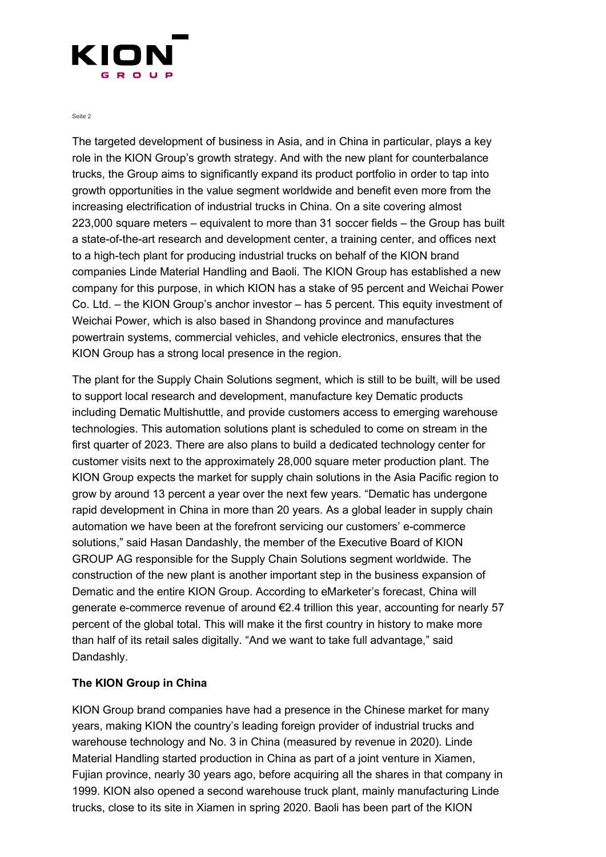

Seite 2

The targeted development of business in Asia, and in China in particular, plays a key role in the KION Group's growth strategy. And with the new plant for counterbalance trucks, the Group aims to significantly expand its product portfolio in order to tap into growth opportunities in the value segment worldwide and benefit even more from the increasing electrification of industrial trucks in China. On a site covering almost 223,000 square meters – equivalent to more than 31 soccer fields – the Group has built a state-of-the-art research and development center, a training center, and offices next to a high-tech plant for producing industrial trucks on behalf of the KION brand companies Linde Material Handling and Baoli. The KION Group has established a new company for this purpose, in which KION has a stake of 95 percent and Weichai Power Co. Ltd. – the KION Group's anchor investor – has 5 percent. This equity investment of Weichai Power, which is also based in Shandong province and manufactures powertrain systems, commercial vehicles, and vehicle electronics, ensures that the KION Group has a strong local presence in the region.

The plant for the Supply Chain Solutions segment, which is still to be built, will be used to support local research and development, manufacture key Dematic products including Dematic Multishuttle, and provide customers access to emerging warehouse technologies. This automation solutions plant is scheduled to come on stream in the first quarter of 2023. There are also plans to build a dedicated technology center for customer visits next to the approximately 28,000 square meter production plant. The KION Group expects the market for supply chain solutions in the Asia Pacific region to grow by around 13 percent a year over the next few years. "Dematic has undergone rapid development in China in more than 20 years. As a global leader in supply chain automation we have been at the forefront servicing our customers' e-commerce solutions," said Hasan Dandashly, the member of the Executive Board of KION GROUP AG responsible for the Supply Chain Solutions segment worldwide. The construction of the new plant is another important step in the business expansion of Dematic and the entire KION Group. According to eMarketer's forecast, China will generate e-commerce revenue of around  $\epsilon$ 2.4 trillion this year, accounting for nearly 57 percent of the global total. This will make it the first country in history to make more than half of its retail sales digitally. "And we want to take full advantage," said Dandashly.

#### **The KION Group in China**

KION Group brand companies have had a presence in the Chinese market for many years, making KION the country's leading foreign provider of industrial trucks and warehouse technology and No. 3 in China (measured by revenue in 2020). Linde Material Handling started production in China as part of a joint venture in Xiamen, Fujian province, nearly 30 years ago, before acquiring all the shares in that company in 1999. KION also opened a second warehouse truck plant, mainly manufacturing Linde trucks, close to its site in Xiamen in spring 2020. Baoli has been part of the KION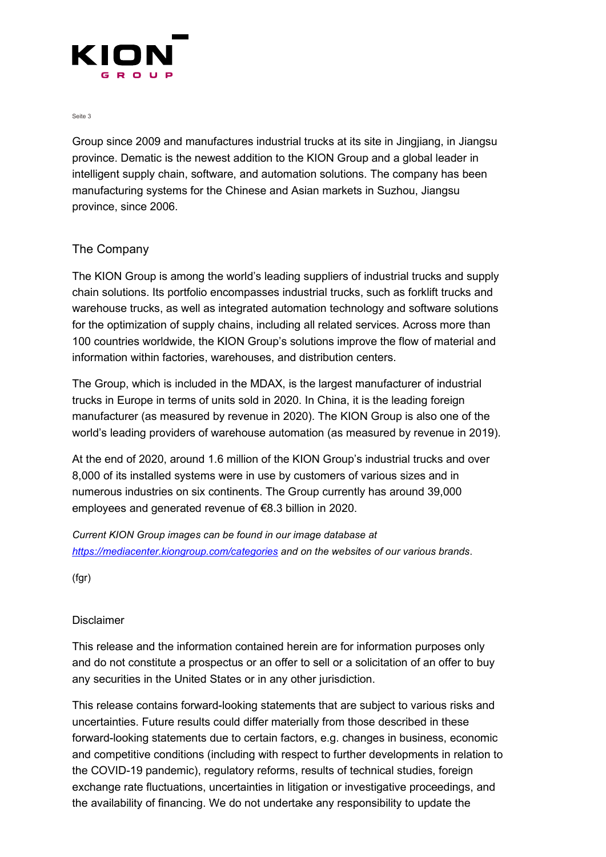

Seite 3

Group since 2009 and manufactures industrial trucks at its site in Jingjiang, in Jiangsu province. Dematic is the newest addition to the KION Group and a global leader in intelligent supply chain, software, and automation solutions. The company has been manufacturing systems for the Chinese and Asian markets in Suzhou, Jiangsu province, since 2006.

## The Company

The KION Group is among the world's leading suppliers of industrial trucks and supply chain solutions. Its portfolio encompasses industrial trucks, such as forklift trucks and warehouse trucks, as well as integrated automation technology and software solutions for the optimization of supply chains, including all related services. Across more than 100 countries worldwide, the KION Group's solutions improve the flow of material and information within factories, warehouses, and distribution centers.

The Group, which is included in the MDAX, is the largest manufacturer of industrial trucks in Europe in terms of units sold in 2020. In China, it is the leading foreign manufacturer (as measured by revenue in 2020). The KION Group is also one of the world's leading providers of warehouse automation (as measured by revenue in 2019).

At the end of 2020, around 1.6 million of the KION Group's industrial trucks and over 8,000 of its installed systems were in use by customers of various sizes and in numerous industries on six continents. The Group currently has around 39,000 employees and generated revenue of €8.3 billion in 2020.

*Current KION Group images can be found in our image database at <https://mediacenter.kiongroup.com/categories> and on the websites of our various brands*.

(fgr)

## Disclaimer

This release and the information contained herein are for information purposes only and do not constitute a prospectus or an offer to sell or a solicitation of an offer to buy any securities in the United States or in any other jurisdiction.

This release contains forward-looking statements that are subject to various risks and uncertainties. Future results could differ materially from those described in these forward-looking statements due to certain factors, e.g. changes in business, economic and competitive conditions (including with respect to further developments in relation to the COVID-19 pandemic), regulatory reforms, results of technical studies, foreign exchange rate fluctuations, uncertainties in litigation or investigative proceedings, and the availability of financing. We do not undertake any responsibility to update the